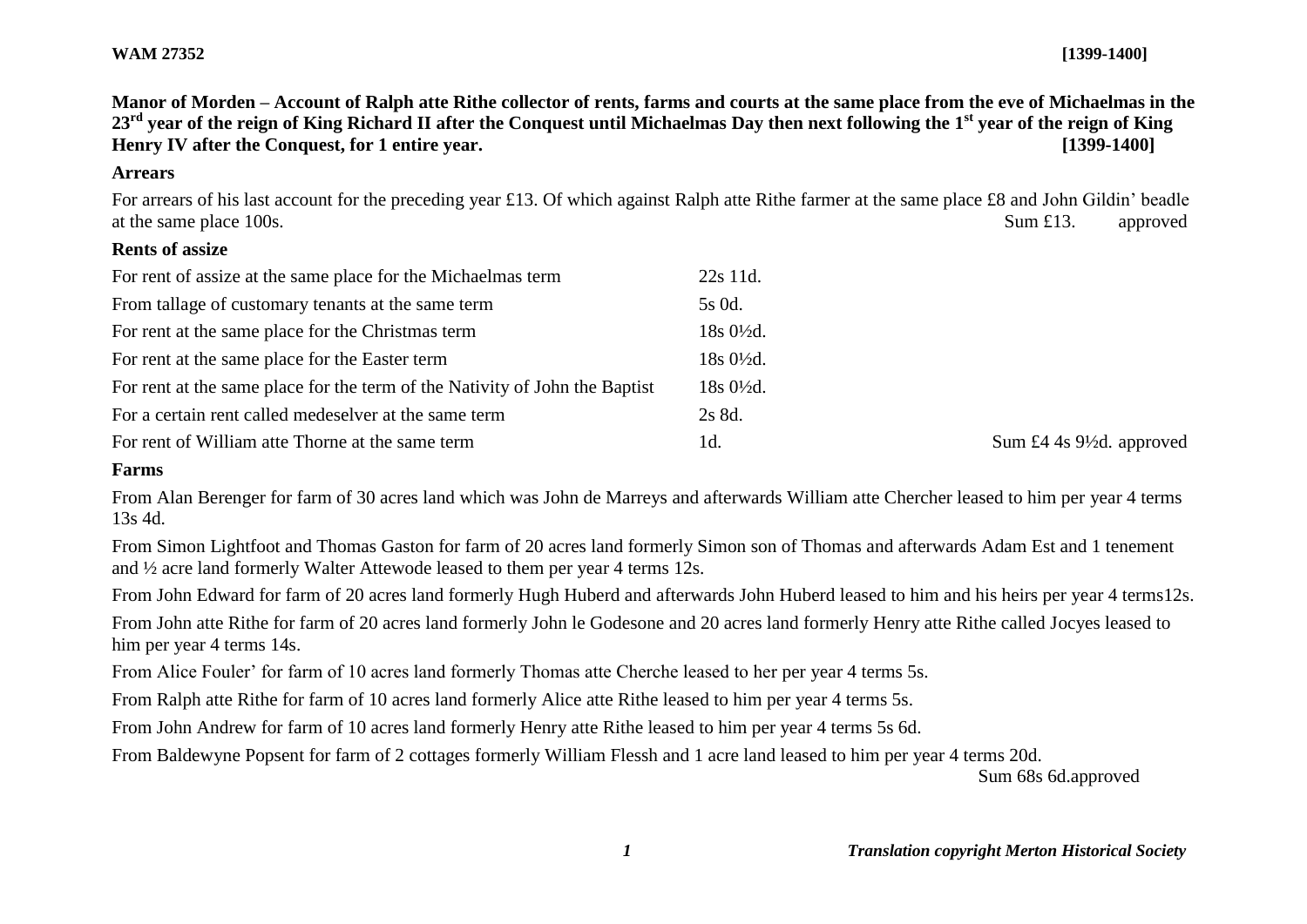**Manor of Morden – Account of Ralph atte Rithe collector of rents, farms and courts at the same place from the eve of Michaelmas in the 23rd year of the reign of King Richard II after the Conquest until Michaelmas Day then next following the 1st year of the reign of King Henry IV after the Conquest, for 1 entire year. [1399-1400]**

#### **Arrears**

For arrears of his last account for the preceding year £13. Of which against Ralph atte Rithe farmer at the same place £8 and John Gildin' beadle at the same place 100s. Sum £13. approved

# **Rents of assize**

| For rent of assize at the same place for the Michaelmas term                | 22s 11d.             |
|-----------------------------------------------------------------------------|----------------------|
| From tallage of customary tenants at the same term                          | 5s 0d.               |
| For rent at the same place for the Christmas term                           | $18s0\frac{1}{2}d$ . |
| For rent at the same place for the Easter term                              | $18s0\frac{1}{2}d$ . |
| For rent at the same place for the term of the Nativity of John the Baptist | $18s0\frac{1}{2}d$ . |
| For a certain rent called medeselver at the same term                       | 2s 8d.               |
| For rent of William atte Thorne at the same term                            | 1d.                  |

Sum  $\pounds 4$  4s 9½d. approved

#### **Farms**

From Alan Berenger for farm of 30 acres land which was John de Marreys and afterwards William atte Chercher leased to him per year 4 terms 13s 4d.

From Simon Lightfoot and Thomas Gaston for farm of 20 acres land formerly Simon son of Thomas and afterwards Adam Est and 1 tenement and ½ acre land formerly Walter Attewode leased to them per year 4 terms 12s.

From John Edward for farm of 20 acres land formerly Hugh Huberd and afterwards John Huberd leased to him and his heirs per year 4 terms12s.

From John atte Rithe for farm of 20 acres land formerly John le Godesone and 20 acres land formerly Henry atte Rithe called Jocyes leased to him per year 4 terms 14s.

From Alice Fouler' for farm of 10 acres land formerly Thomas atte Cherche leased to her per year 4 terms 5s.

From Ralph atte Rithe for farm of 10 acres land formerly Alice atte Rithe leased to him per year 4 terms 5s.

From John Andrew for farm of 10 acres land formerly Henry atte Rithe leased to him per year 4 terms 5s 6d.

From Baldewyne Popsent for farm of 2 cottages formerly William Flessh and 1 acre land leased to him per year 4 terms 20d.

Sum 68s 6d.approved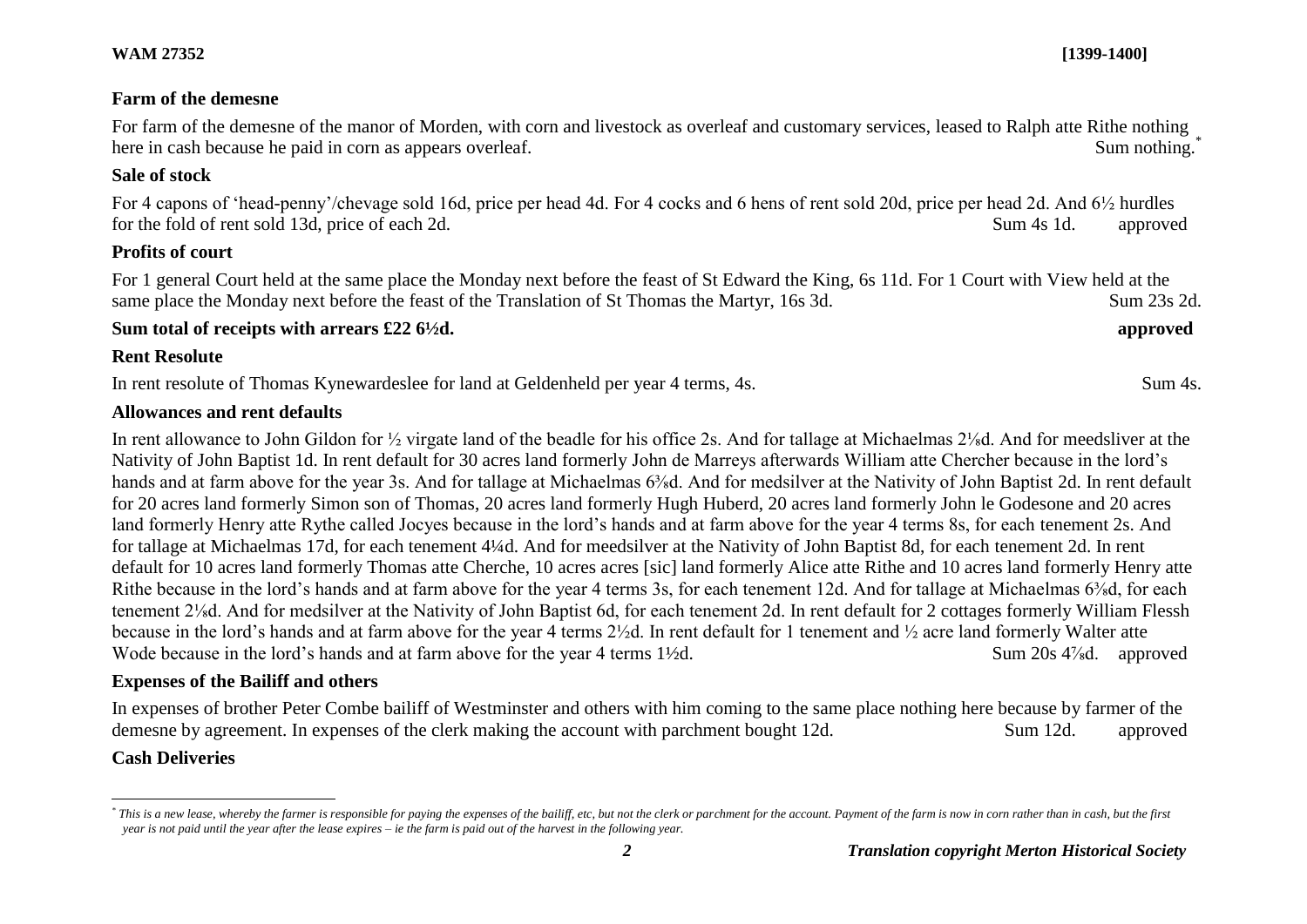#### **Farm of the demesne**

For farm of the demesne of the manor of Morden, with corn and livestock as overleaf and customary services, leased to Ralph atte Rithe nothing here in cash because he paid in corn as appears overleaf. Sum nothing.<sup>\*</sup> Sum nothing.<sup>\*</sup>

#### **Sale of stock**

For 4 capons of 'head-penny'/chevage sold 16d, price per head 4d. For 4 cocks and 6 hens of rent sold 20d, price per head 2d. And 6½ hurdles for the fold of rent sold 13d, price of each 2d. Sum 4s 1d. approved

#### **Profits of court**

For 1 general Court held at the same place the Monday next before the feast of St Edward the King, 6s 11d. For 1 Court with View held at the same place the Monday next before the feast of the Translation of St Thomas the Martyr, 16s 3d. Sum 23s 2d.

#### **Sum total of receipts with arrears £22 6½d. approved**

#### **Rent Resolute**

In rent resolute of Thomas Kynewardeslee for land at Geldenheld per year 4 terms, 4s. Sum 4s.

# **Allowances and rent defaults**

In rent allowance to John Gildon for ½ virgate land of the beadle for his office 2s. And for tallage at Michaelmas 2⅛d. And for meedsliver at the Nativity of John Baptist 1d. In rent default for 30 acres land formerly John de Marreys afterwards William atte Chercher because in the lord's hands and at farm above for the year 3s. And for tallage at Michaelmas 6<sup>3</sup>/<sub>8</sub>d. And for medsilver at the Nativity of John Baptist 2d. In rent default for 20 acres land formerly Simon son of Thomas, 20 acres land formerly Hugh Huberd, 20 acres land formerly John le Godesone and 20 acres land formerly Henry atte Rythe called Jocyes because in the lord's hands and at farm above for the year 4 terms 8s, for each tenement 2s. And for tallage at Michaelmas 17d, for each tenement 4¼d. And for meedsilver at the Nativity of John Baptist 8d, for each tenement 2d. In rent default for 10 acres land formerly Thomas atte Cherche, 10 acres acres [sic] land formerly Alice atte Rithe and 10 acres land formerly Henry atte Rithe because in the lord's hands and at farm above for the year 4 terms 3s, for each tenement 12d. And for tallage at Michaelmas 6<sup>3</sup>/<sub>8</sub>d, for each tenement 2⅛d. And for medsilver at the Nativity of John Baptist 6d, for each tenement 2d. In rent default for 2 cottages formerly William Flessh because in the lord's hands and at farm above for the year 4 terms 2½d. In rent default for 1 tenement and ½ acre land formerly Walter atte Wode because in the lord's hands and at farm above for the year 4 terms 1½d. Sum 20s 4<sup>7</sup>/<sub>8</sub>d. approved

# **Expenses of the Bailiff and others**

In expenses of brother Peter Combe bailiff of Westminster and others with him coming to the same place nothing here because by farmer of the demesne by agreement. In expenses of the clerk making the account with parchment bought 12d. Sum 12d. approved

# **Cash Deliveries**

l

<sup>\*</sup> This is a new lease, whereby the farmer is responsible for paying the expenses of the bailiff, etc, but not the clerk or parchment for the account. Payment of the farm is now in corn rather than in cash, but the first *year is not paid until the year after the lease expires – ie the farm is paid out of the harvest in the following year.*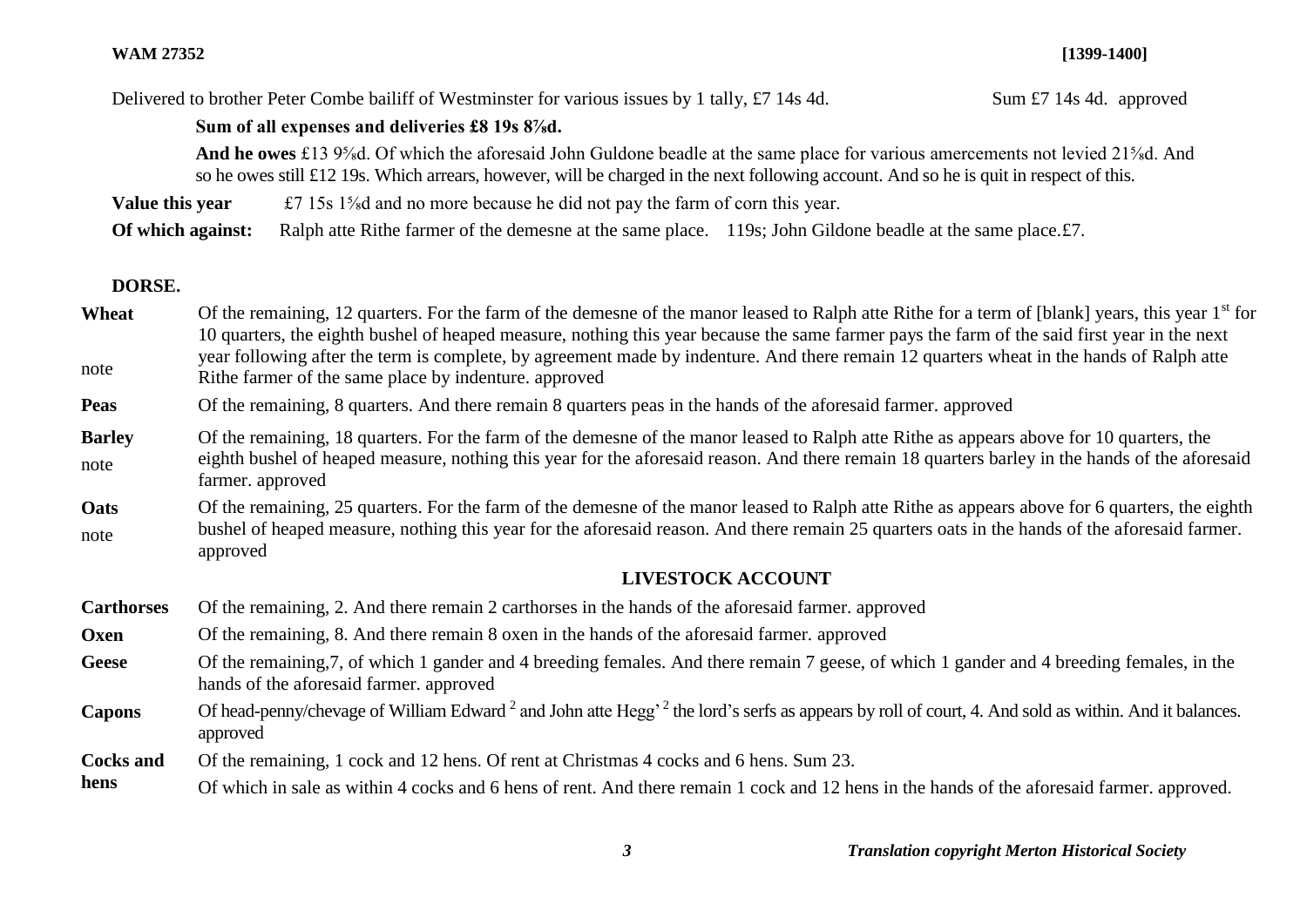Delivered to brother Peter Combe bailiff of Westminster for various issues by 1 tally, £7 14s 4d. Sum £7 14s 4d. approved

#### **Sum of all expenses and deliveries £8 19s 8⅞d.**

**And he owes** £13 9⅝d. Of which the aforesaid John Guldone beadle at the same place for various amercements not levied 21⅝d. And so he owes still £12 19s. Which arrears, however, will be charged in the next following account. And so he is quit in respect of this.

**Value this year**  $\text{£7 } 15s \frac{1}{8}d$  and no more because he did not pay the farm of corn this year.

**Of which against:** Ralph atte Rithe farmer of the demesne at the same place. 119s; John Gildone beadle at the same place. £7.

# **DORSE.**

**Wheat** note Of the remaining, 12 quarters. For the farm of the demesne of the manor leased to Ralph atte Rithe for a term of [blank] years, this year 1<sup>st</sup> for 10 quarters, the eighth bushel of heaped measure, nothing this year because the same farmer pays the farm of the said first year in the next year following after the term is complete, by agreement made by indenture. And there remain 12 quarters wheat in the hands of Ralph atte Rithe farmer of the same place by indenture. approved

**Peas** Of the remaining, 8 quarters. And there remain 8 quarters peas in the hands of the aforesaid farmer. approved

- **Barley** note Of the remaining, 18 quarters. For the farm of the demesne of the manor leased to Ralph atte Rithe as appears above for 10 quarters, the eighth bushel of heaped measure, nothing this year for the aforesaid reason. And there remain 18 quarters barley in the hands of the aforesaid farmer. approved
- **Oats** note Of the remaining, 25 quarters. For the farm of the demesne of the manor leased to Ralph atte Rithe as appears above for 6 quarters, the eighth bushel of heaped measure, nothing this year for the aforesaid reason. And there remain 25 quarters oats in the hands of the aforesaid farmer. approved

# **LIVESTOCK ACCOUNT**

**Carthorses** Of the remaining, 2. And there remain 2 carthorses in the hands of the aforesaid farmer. approved

- **Oxen** Of the remaining, 8. And there remain 8 oxen in the hands of the aforesaid farmer. approved
- Geese Of the remaining, 7, of which 1 gander and 4 breeding females. And there remain 7 geese, of which 1 gander and 4 breeding females, in the hands of the aforesaid farmer. approved
- Capons Of head-penny/chevage of William Edward<sup>2</sup> and John atte Hegg<sup>, 2</sup> the lord's serfs as appears by roll of court, 4. And sold as within. And it balances. approved

**Cocks and**  Of the remaining, 1 cock and 12 hens. Of rent at Christmas 4 cocks and 6 hens. Sum 23.

**hens** Of which in sale as within 4 cocks and 6 hens of rent. And there remain 1 cock and 12 hens in the hands of the aforesaid farmer. approved.